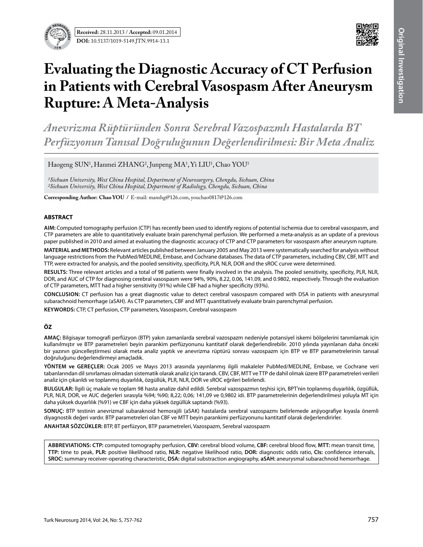



# **Evaluating the Diagnostic Accuracy of CT Perfusion in Patients with Cerebral Vasospasm After Aneurysm Rupture: A Meta-Analysis**

*Anevrizma Rüptüründen Sonra Serebral Vazospazmlı Hastalarda Bt Perfüzyonun Tanısal Doğruluğunun Değerlendirilmesi: Bir Meta Analiz*

Haogeng SUN<sup>1</sup>, Hanmei ZHANG<sup>2</sup>, Junpeng MA<sup>1</sup>, Yi LIU<sup>1</sup>, Chao YOU<sup>1</sup>

*1Sichuan University, West China Hospital, Department of Neurosurgery, Chengdu, Sichuan, China 2Sichuan University, West China Hospital, Department of Radiology, Chengdu, Sichuan, China*

**Corresponding Author: Chao You /** E-mail: manshg@126.com, youchao0817@126.com

## **ABSTRACT**

**AIm:** Computed tomography perfusion (CTP) has recently been used to identify regions of potential ischemia due to cerebral vasospasm, and CTP parameters are able to quantitatively evaluate brain parenchymal perfusion. We performed a meta-analysis as an update of a previous paper published in 2010 and aimed at evaluating the diagnostic accuracy of CTP and CTP parameters for vasospasm after aneurysm rupture.

**MaterIal and Methods:** Relevant articles published between January 2005 and May 2013 were systematically searched for analysis without language restrictions from the PubMed/MEDLINE, Embase, and Cochrane databases. The data of CTP parameters, including CBV, CBF, MTT and TTP, were extracted for analysis, and the pooled sensitivity, specificity, PLR, NLR, DOR and the sROC curve were determined.

**Results:** Three relevant articles and a total of 98 patients were finally involved in the analysis. The pooled sensitivity, specificity, PLR, NLR, DOR, and AUC of CTP for diagnosing cerebral vasospasm were 94%, 90%, 8.22, 0.06, 141.09, and 0.9802, respectively. Through the evaluation of CTP parameters, MTT had a higher sensitivity (91%) while CBF had a higher specificity (93%).

**ConclusIon:** CT perfusion has a great diagnostic value to detect cerebral vasospasm compared with DSA in patients with aneurysmal subarachnoid hemorrhage (aSAH). As CTP parameters, CBF and MTT quantitatively evaluate brain parenchymal perfusion.

**Keywords:** CTP, CT perfusion, CTP parameters, Vasospasm, Cerebral vasospasm

## **ÖZ**

**AMAÇ:** Bilgisayar tomografi perfüzyon (BTP) yakın zamanlarda serebral vazospazm nedeniyle potansiyel iskemi bölgelerini tanımlamak için kullanılmıştır ve BTP parametreleri beyin parankim perfüzyonunu kantitatif olarak değerlendirebilir. 2010 yılında yayınlanan daha önceki bir yazının güncelleştirmesi olarak meta analiz yaptık ve anevrizma rüptürü sonrası vazospazm için BTP ve BTP parametrelerinin tanısal doğruluğunu değerlendirmeyi amaçladık.

**YÖNTEM ve GEREÇLER:** Ocak 2005 ve Mayıs 2013 arasında yayınlanmış ilgili makaleler PubMed/MEDLINE, Embase, ve Cochrane veri tabanlarından dil sınırlaması olmadan sistematik olarak analiz için tarandı. CBV, CBF, MTT ve TTP de dahil olmak üzere BTP parametreleri verileri analiz için çıkarıldı ve toplanmış duyarlılık, özgüllük, PLR, NLR, DOR ve sROC eğrileri belirlendi.

**BULGULAR:** İlgili üç makale ve toplam 98 hasta analize dahil edildi. Serebral vazospazmın teşhisi için, BPT'nin toplanmış duyarlılık, özgüllük, PLR, NLR, DOR, ve AUC değerleri sırasıyla %94; %90; 8,22; 0,06; 141,09 ve 0,9802 idi. BTP parametrelerinin değerlendirilmesi yoluyla MT için daha yüksek duyarlılık (%91) ve CBF için daha yüksek özgüllük saptandı (%93).

**SONUÇ:** BTP testinin anevrizmal subaraknoid hemorajili (aSAK) hastalarda serebral vazospazmı belirlemede anjiyografiye kıyasla önemli diyagnostik değeri vardır. BTP parametreleri olan CBF ve MTT beyin parankimi perfüzyonunu kantitatif olarak değerlendirirler.

**ANAHTAR SÖZCÜKLER:** BTP, BT perfüzyon, BTP parametreleri, Vazospazm, Serebral vazospazm

**abbrevıatıons: CTP:** computed tomography perfusion, **CBV:** cerebral blood volume, **CBF:** cerebral blood flow, **MTT:** mean transit time, **TTP:** time to peak, **PLR:** positive likelihood ratio, **NLR:** negative likelihood ratio, **DOR:** diagnostic odds ratio, **CIs:** confidence intervals, **SROC:** summary receiver-operating characteristic, **DSA:** digital substraction angiography, **aSAH:** aneurysmal subarachnoid hemorrhage.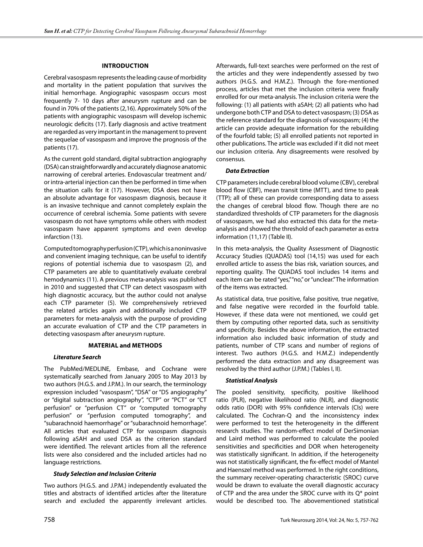# **Introduction**

Cerebral vasospasm represents the leading cause of morbidity and mortality in the patient population that survives the initial hemorrhage. Angiographic vasospasm occurs most frequently 7- 10 days after aneurysm rupture and can be found in 70% of the patients (2,16). Approximately 50% of the patients with angiographic vasospasm will develop ischemic neurologic deficits (17). Early diagnosis and active treatment are regarded as very important in the management to prevent the sequelae of vasospasm and improve the prognosis of the patients (17).

As the current gold standard, digital subtraction angiography (DSA) can straightforwardly and accurately diagnose anatomic narrowing of cerebral arteries. Endovascular treatment and/ or intra-arterial injection can then be performed in time when the situation calls for it (17). However, DSA does not have an absolute advantage for vasospasm diagnosis, because it is an invasive technique and cannot completely explain the occurrence of cerebral ischemia. Some patients with severe vasospasm do not have symptoms while others with modest vasospasm have apparent symptoms and even develop infarction (13).

Computed tomography perfusion (CTP), which is a noninvasive and convenient imaging technique, can be useful to identify regions of potential ischemia due to vasospasm (2), and CTP parameters are able to quantitatively evaluate cerebral hemodynamics (11). A previous meta-analysis was published in 2010 and suggested that CTP can detect vasospasm with high diagnostic accuracy, but the author could not analyse each CTP parameter (5). We comprehensively retrieved the related articles again and additionally included CTP parameters for meta-analysis with the purpose of providing an accurate evaluation of CTP and the CTP parameters in detecting vasospasm after aneurysm rupture.

## **Material and Methods**

# *Literature Search*

The PubMed/MEDLINE, Embase, and Cochrane were systematically searched from January 2005 to May 2013 by two authors (H.G.S. and J.P.M.). In our search, the terminology expression included "vasospasm", "DSA" or "DS angiography" or "digital subtraction angiography", "CTP" or "PCT" or "CT perfusion" or "perfusion CT" or "computed tomography perfusion" or "perfusion computed tomography", and "subarachnoid haemorrhage" or "subarachnoid hemorrhage". All articles that evaluated CTP for vasospasm diagnosis following aSAH and used DSA as the criterion standard were identified. The relevant articles from all the reference lists were also considered and the included articles had no language restrictions.

## *Study Selection and Inclusion Criteria*

Two authors (H.G.S. and J.P.M.) independently evaluated the titles and abstracts of identified articles after the literature search and excluded the apparently irrelevant articles.

Afterwards, full-text searches were performed on the rest of the articles and they were independently assessed by two authors (H.G.S. and H.M.Z.). Through the fore-mentioned process, articles that met the inclusion criteria were finally enrolled for our meta-analysis. The inclusion criteria were the following: (1) all patients with aSAH; (2) all patients who had undergone both CTP and DSA to detect vasospasm; (3) DSA as the reference standard for the diagnosis of vasospasm; (4) the article can provide adequate information for the rebuilding of the fourfold table; (5) all enrolled patients not reported in other publications. The article was excluded if it did not meet our inclusion criteria. Any disagreements were resolved by consensus.

# *Data Extraction*

CTP parameters include cerebral blood volume (CBV), cerebral blood flow (CBF), mean transit time (MTT), and time to peak (TTP); all of these can provide corresponding data to assess the changes of cerebral blood flow. Though there are no standardized thresholds of CTP parameters for the diagnosis of vasospasm, we had also extracted this data for the metaanalysis and showed the threshold of each parameter as extra information (11,17) (Table II).

In this meta-analysis, the Quality Assessment of Diagnostic Accuracy Studies (QUADAS) tool (14,15) was used for each enrolled article to assess the bias risk, variation sources, and reporting quality. The QUADAS tool includes 14 items and each item can be rated "yes," "no," or "unclear." The information of the items was extracted.

As statistical data, true positive, false positive, true negative, and false negative were recorded in the fourfold table. However, if these data were not mentioned, we could get them by computing other reported data, such as sensitivity and specificity. Besides the above information, the extracted information also included basic information of study and patients, number of CTP scans and number of regions of interest. Two authors (H.G.S. and H.M.Z.) independently performed the data extraction and any disagreement was resolved by the third author (J.P.M.) (Tables I, II).

## *Statistical Analysis*

The pooled sensitivity, specificity, positive likelihood ratio (PLR), negative likelihood ratio (NLR), and diagnostic odds ratio (DOR) with 95% confidence intervals (CIs) were calculated. The Cochran-Q and the inconsistency index were performed to test the heterogeneity in the different research studies. The random-effect model of DerSimonian and Laird method was performed to calculate the pooled sensitivities and specificities and DOR when heterogeneity was statistically significant. In addition, if the heterogeneity was not statistically significant, the fix-effect model of Mantel and Haenszel method was performed. In the right conditions, the summary receiver-operating characteristic (SROC) curve would be drawn to evaluate the overall diagnostic accuracy of CTP and the area under the SROC curve with its Q\* point would be described too. The abovementioned statistical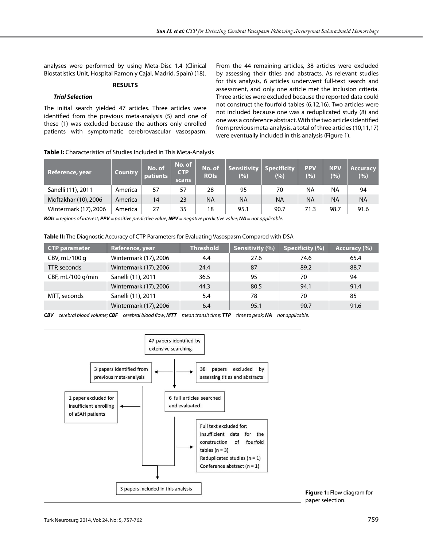analyses were performed by using Meta-Disc 1.4 (Clinical Biostatistics Unit, Hospital Ramon y Cajal, Madrid, Spain) (18).

# **Results**

#### *Trial Selection*

The initial search yielded 47 articles. Three articles were identified from the previous meta-analysis (5) and one of these (1) was excluded because the authors only enrolled patients with symptomatic cerebrovascular vasospasm. From the 44 remaining articles, 38 articles were excluded by assessing their titles and abstracts. As relevant studies for this analysis, 6 articles underwent full-text search and assessment, and only one article met the inclusion criteria. Three articles were excluded because the reported data could not construct the fourfold tables (6,12,16). Two articles were not included because one was a reduplicated study (8) and one was a conference abstract. With the two articles identified from previous meta-analysis, a total of three articles (10,11,17) were eventually included in this analysis (Figure 1).

| Table I: Characteristics of Studies Included in This Meta-Analysis |
|--------------------------------------------------------------------|
|--------------------------------------------------------------------|

| Reference, year       | <b>Country</b> | No. of<br>patients | No. of<br><b>CTP</b><br>scans | No. of<br><b>ROIS</b> | <b>Sensitivity</b><br>(%) | Specificity<br>(%) | <b>PPV</b><br>(%) | <b>NPV</b><br>(%) | <b>Accuracy</b><br>(%) |
|-----------------------|----------------|--------------------|-------------------------------|-----------------------|---------------------------|--------------------|-------------------|-------------------|------------------------|
| Sanelli (11), 2011    | America        | 57                 | 57                            | 28                    | 95                        | 70                 | <b>NA</b>         | ΝA                | 94                     |
| Moftakhar (10), 2006  | America        | 14                 | 23                            | <b>NA</b>             | ΝA                        | ΝA                 | <b>NA</b>         | <b>NA</b>         | <b>NA</b>              |
| Wintermark (17), 2006 | America        | 27                 | 35                            | 18                    | 95.1                      | 90.7               | 71.3              | 98.7              | 91.6                   |

*ROIs = regions of interest; PPV = positive predictive value; NPV = negative predictive value; NA = not applicable.*

Table II: The Diagnostic Accuracy of CTP Parameters for Evaluating Vasospasm Compared with DSA

| <b>CTP parameter</b> | Reference, year       | <b>Threshold</b> | Sensitivity (%) | <b>Specificity (%)</b> | Accuracy (%) |
|----------------------|-----------------------|------------------|-----------------|------------------------|--------------|
| CBV, $mL/100 g$      | Wintermark (17), 2006 | 4.4              | 27.6            | 74.6                   | 65.4         |
| TTP, seconds         | Wintermark (17), 2006 | 24.4             | 87              | 89.2                   | 88.7         |
| CBF, mL/100 g/min    | Sanelli (11), 2011    | 36.5             | 95              | 70                     | 94           |
|                      | Wintermark (17), 2006 | 44.3             | 80.5            | 94.1                   | 91.4         |
| MTT, seconds         | Sanelli (11), 2011    | 5.4              | 78              | 70                     | 85           |
|                      | Wintermark (17), 2006 | 6.4              | 95.1            | 90.7                   | 91.6         |

*CBV = cerebral blood volume; CBF = cerebral blood flow; MTT = mean transit time; TTP = time to peak; NA = not applicable.*



**Figure 1:** Flow diagram for paper selection.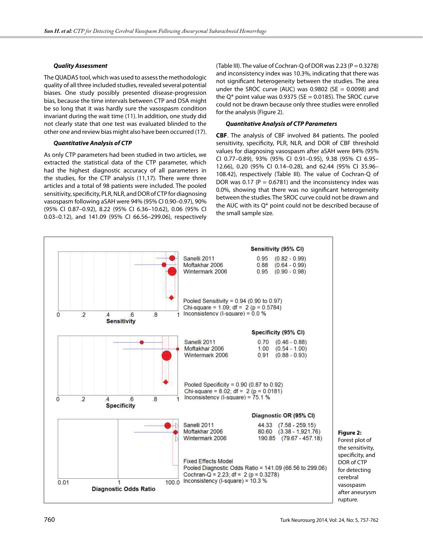# *Quality Assessment*

The QUADAS tool, which was used to assess the methodologic quality of all three included studies, revealed several potential biases. One study possibly presented disease-progression bias, because the time intervals between CTP and DSA might be so long that it was hardly sure the vasospasm condition invariant during the wait time (11). In addition, one study did not clearly state that one test was evaluated blinded to the other one and review bias might also have been occurred (17).

# *Quantitative Analysis of CTP*

As only CTP parameters had been studied in two articles, we extracted the statistical data of the CTP parameter, which had the highest diagnostic accuracy of all parameters in the studies, for the CTP analysis (11,17). There were three articles and a total of 98 patients were included. The pooled sensitivity, specificity, PLR, NLR, and DOR of CTP for diagnosing vasospasm following aSAH were 94% (95% CI 0.90–0.97), 90% (95% CI 0.87–0.92), 8.22 (95% CI 6.36–10.62), 0.06 (95% CI 0.03–0.12), and 141.09 (95% CI 66.56–299.06), respectively (Table III). The value of Cochran-Q of DOR was 2.23 ( $P = 0.3278$ ) and inconsistency index was 10.3%, indicating that there was not significant heterogeneity between the studies. The area under the SROC curve (AUC) was  $0.9802$  (SE =  $0.0098$ ) and the  $O^*$  point value was 0.9375 (SE = 0.0185). The SROC curve could not be drawn because only three studies were enrolled for the analysis (Figure 2).

# *Quantitative Analysis of CTP Parameters*

**CBF**. The analysis of CBF involved 84 patients. The pooled sensitivity, specificity, PLR, NLR, and DOR of CBF threshold values for diagnosing vasospasm after aSAH were 84% (95% CI 0.77–0.89), 93% (95% CI 0.91–0.95), 9.38 (95% CI 6.95– 12.66), 0.20 (95% CI 0.14–0.28), and 62.44 (95% CI 35.96– 108.42), respectively (Table III). The value of Cochran-Q of DOR was 0.17 ( $P = 0.6781$ ) and the inconsistency index was 0.0%, showing that there was no significant heterogeneity between the studies. The SROC curve could not be drawn and the AUC with its Q\* point could not be described because of the small sample size.

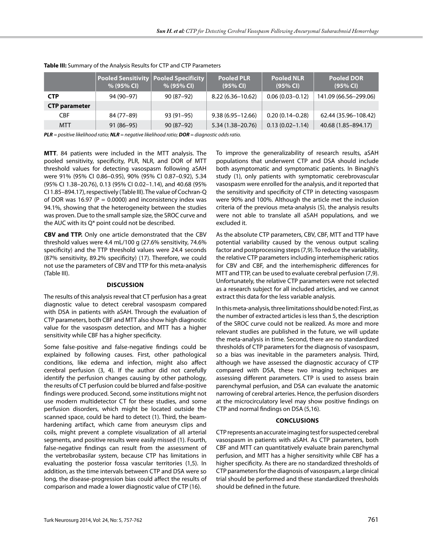|                      | <b>Pooled Sensitivity Pooled Specificity</b><br>$% (95\% CI)$ | % (95% CI)  | <b>Pooled PLR</b><br>(95% CI) | <b>Pooled NLR</b><br>(95% CI) | <b>Pooled DOR</b><br>(95% CI) |
|----------------------|---------------------------------------------------------------|-------------|-------------------------------|-------------------------------|-------------------------------|
| <b>CTP</b>           | 94 (90–97)                                                    | $90(87-92)$ | $8.22(6.36 - 10.62)$          | $0.06(0.03 - 0.12)$           | 141.09 (66.56–299.06)         |
| <b>CTP parameter</b> |                                                               |             |                               |                               |                               |
| CBF                  | 84 (77-89)                                                    | $93(91-95)$ | $9.38(6.95 - 12.66)$          | $0.20(0.14 - 0.28)$           | 62.44 (35.96-108.42)          |
| MTT                  | $91(86-95)$                                                   | $90(87-92)$ | 5.34 (1.38–20.76)             | $0.13(0.02 - 1.14)$           | 40.68 (1.85-894.17)           |

## **Table III:** Summary of the Analysis Results for CTP and CTP Parameters

*PLR = positive likelihood ratio; NLR = negative likelihood ratio; DOR = diagnostic odds ratio.*

**MTT**. 84 patients were included in the MTT analysis. The pooled sensitivity, specificity, PLR, NLR, and DOR of MTT threshold values for detecting vasospasm following aSAH were 91% (95% CI 0.86–0.95), 90% (95% CI 0.87–0.92), 5.34 (95% CI 1.38–20.76), 0.13 (95% CI 0.02–1.14), and 40.68 (95% CI 1.85–894.17), respectively (Table III). The value of Cochran-Q of DOR was 16.97 ( $P = 0.0000$ ) and inconsistency index was 94.1%, showing that the heterogeneity between the studies was proven. Due to the small sample size, the SROC curve and the AUC with its Q\* point could not be described.

**CBV and TTP.** Only one article demonstrated that the CBV threshold values were 4.4 mL/100 g (27.6% sensitivity, 74.6% specificity) and the TTP threshold values were 24.4 seconds (87% sensitivity, 89.2% specificity) (17). Therefore, we could not use the parameters of CBV and TTP for this meta-analysis (Table III).

## **Discussion**

The results of this analysis reveal that CT perfusion has a great diagnostic value to detect cerebral vasospasm compared with DSA in patients with aSAH. Through the evaluation of CTP parameters, both CBF and MTT also show high diagnostic value for the vasospasm detection, and MTT has a higher sensitivity while CBF has a higher specificity.

Some false-positive and false-negative findings could be explained by following causes. First, other pathological conditions, like edema and infection, might also affect cerebral perfusion (3, 4). If the author did not carefully identify the perfusion changes causing by other pathology, the results of CT perfusion could be blurred and false-positive findings were produced. Second, some institutions might not use modern multidetector CT for these studies, and some perfusion disorders, which might be located outside the scanned space, could be hard to detect (1). Third, the beamhardening artifact, which came from aneurysm clips and coils, might prevent a complete visualization of all arterial segments, and positive results were easily missed (1). Fourth, false-negative findings can result from the assessment of the vertebrobasilar system, because CTP has limitations in evaluating the posterior fossa vascular territories (1,5). In addition, as the time intervals between CTP and DSA were so long, the disease-progression bias could affect the results of comparison and made a lower diagnostic value of CTP (16).

To improve the generalizability of research results, aSAH populations that underwent CTP and DSA should include both asymptomatic and symptomatic patients. In Binaghi's study (1), only patients with symptomatic cerebrovascular vasospasm were enrolled for the analysis, and it reported that the sensitivity and specificity of CTP in detecting vasospasm were 90% and 100%. Although the article met the inclusion criteria of the previous meta-analysis (5), the analysis results were not able to translate all aSAH populations, and we excluded it.

As the absolute CTP parameters, CBV, CBF, MTT and TTP have potential variability caused by the venous output scaling factor and postprocessing steps (7,9). To reduce the variability, the relative CTP parameters including interhemispheric ratios for CBV and CBF, and the interhemispheric differences for MTT and TTP, can be used to evaluate cerebral perfusion (7,9). Unfortunately, the relative CTP parameters were not selected as a research subject for all included articles, and we cannot extract this data for the less variable analysis.

In this meta-analysis, three limitations should be noted: First, as the number of extracted articles is less than 5, the description of the SROC curve could not be realized. As more and more relevant studies are published in the future, we will update the meta-analysis in time. Second, there are no standardized thresholds of CTP parameters for the diagnosis of vasospasm, so a bias was inevitable in the parameters analysis. Third, although we have assessed the diagnostic accuracy of CTP compared with DSA, these two imaging techniques are assessing different parameters. CTP is used to assess brain parenchymal perfusion, and DSA can evaluate the anatomic narrowing of cerebral arteries. Hence, the perfusion disorders at the microcirculatory level may show positive findings on CTP and normal findings on DSA (5,16).

## **Conclusions**

CTP represents an accurate imaging test for suspected cerebral vasospasm in patients with aSAH. As CTP parameters, both CBF and MTT can quantitatively evaluate brain parenchymal perfusion, and MTT has a higher sensitivity while CBF has a higher specificity. As there are no standardized thresholds of CTP parameters for the diagnosis of vasospasm, a large clinical trial should be performed and these standardized thresholds should be defined in the future.